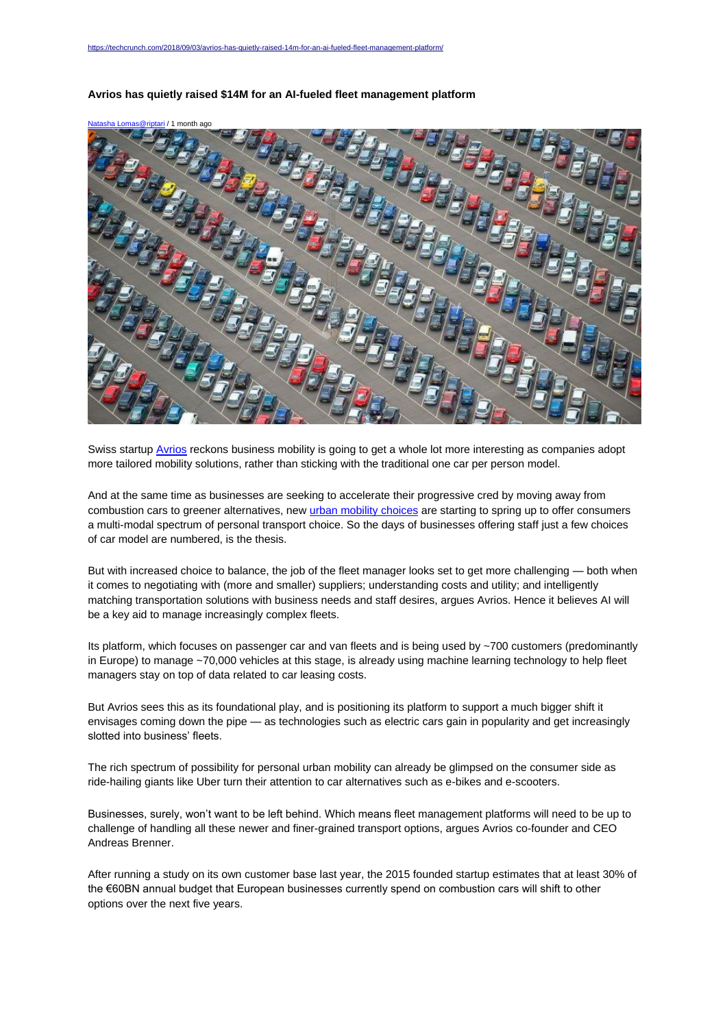

## **Avrios has quietly raised \$14M for an AI-fueled fleet management platform**

Swiss startup [Avrios](https://www.avrios.com/en/) reckons business mobility is going to get a whole lot more interesting as companies adopt more tailored mobility solutions, rather than sticking with the traditional one car per person model.

And at the same time as businesses are seeking to accelerate their progressive cred by moving away from combustion cars to greener alternatives, ne[w urban mobility choices](https://techcrunch.com/2018/06/23/are-scooter-startups-really-worth-billions/) are starting to spring up to offer consumers a multi-modal spectrum of personal transport choice. So the days of businesses offering staff just a few choices of car model are numbered, is the thesis.

But with increased choice to balance, the job of the fleet manager looks set to get more challenging — both when it comes to negotiating with (more and smaller) suppliers; understanding costs and utility; and intelligently matching transportation solutions with business needs and staff desires, argues Avrios. Hence it believes AI will be a key aid to manage increasingly complex fleets.

Its platform, which focuses on passenger car and van fleets and is being used by ~700 customers (predominantly in Europe) to manage ~70,000 vehicles at this stage, is already using machine learning technology to help fleet managers stay on top of data related to car leasing costs.

But Avrios sees this as its foundational play, and is positioning its platform to support a much bigger shift it envisages coming down the pipe — as technologies such as electric cars gain in popularity and get increasingly slotted into business' fleets.

The rich spectrum of possibility for personal urban mobility can already be glimpsed on the consumer side as ride-hailing giants like Uber turn their attention to car alternatives such as e-bikes and e-scooters.

Businesses, surely, won't want to be left behind. Which means fleet management platforms will need to be up to challenge of handling all these newer and finer-grained transport options, argues Avrios co-founder and CEO Andreas Brenner.

After running a study on its own customer base last year, the 2015 founded startup estimates that at least 30% of the €60BN annual budget that European businesses currently spend on combustion cars will shift to other options over the next five years.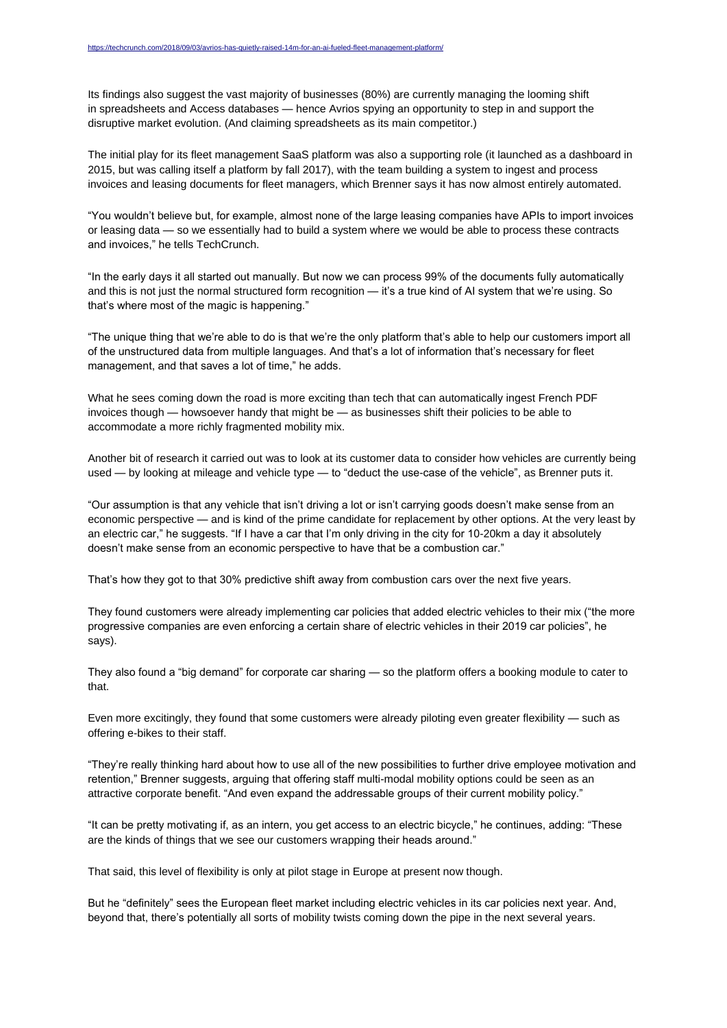Its findings also suggest the vast majority of businesses (80%) are currently managing the looming shift in spreadsheets and Access databases — hence Avrios spying an opportunity to step in and support the disruptive market evolution. (And claiming spreadsheets as its main competitor.)

The initial play for its fleet management SaaS platform was also a supporting role (it launched as a dashboard in 2015, but was calling itself a platform by fall 2017), with the team building a system to ingest and process invoices and leasing documents for fleet managers, which Brenner says it has now almost entirely automated.

"You wouldn't believe but, for example, almost none of the large leasing companies have APIs to import invoices or leasing data — so we essentially had to build a system where we would be able to process these contracts and invoices," he tells TechCrunch.

"In the early days it all started out manually. But now we can process 99% of the documents fully automatically and this is not just the normal structured form recognition — it's a true kind of AI system that we're using. So that's where most of the magic is happening."

"The unique thing that we're able to do is that we're the only platform that's able to help our customers import all of the unstructured data from multiple languages. And that's a lot of information that's necessary for fleet management, and that saves a lot of time," he adds.

What he sees coming down the road is more exciting than tech that can automatically ingest French PDF invoices though — howsoever handy that might be — as businesses shift their policies to be able to accommodate a more richly fragmented mobility mix.

Another bit of research it carried out was to look at its customer data to consider how vehicles are currently being used — by looking at mileage and vehicle type — to "deduct the use-case of the vehicle", as Brenner puts it.

"Our assumption is that any vehicle that isn't driving a lot or isn't carrying goods doesn't make sense from an economic perspective — and is kind of the prime candidate for replacement by other options. At the very least by an electric car," he suggests. "If I have a car that I'm only driving in the city for 10-20km a day it absolutely doesn't make sense from an economic perspective to have that be a combustion car."

That's how they got to that 30% predictive shift away from combustion cars over the next five years.

They found customers were already implementing car policies that added electric vehicles to their mix ("the more progressive companies are even enforcing a certain share of electric vehicles in their 2019 car policies", he says).

They also found a "big demand" for corporate car sharing — so the platform offers a booking module to cater to that.

Even more excitingly, they found that some customers were already piloting even greater flexibility — such as offering e-bikes to their staff.

"They're really thinking hard about how to use all of the new possibilities to further drive employee motivation and retention," Brenner suggests, arguing that offering staff multi-modal mobility options could be seen as an attractive corporate benefit. "And even expand the addressable groups of their current mobility policy."

"It can be pretty motivating if, as an intern, you get access to an electric bicycle," he continues, adding: "These are the kinds of things that we see our customers wrapping their heads around."

That said, this level of flexibility is only at pilot stage in Europe at present now though.

But he "definitely" sees the European fleet market including electric vehicles in its car policies next year. And, beyond that, there's potentially all sorts of mobility twists coming down the pipe in the next several years.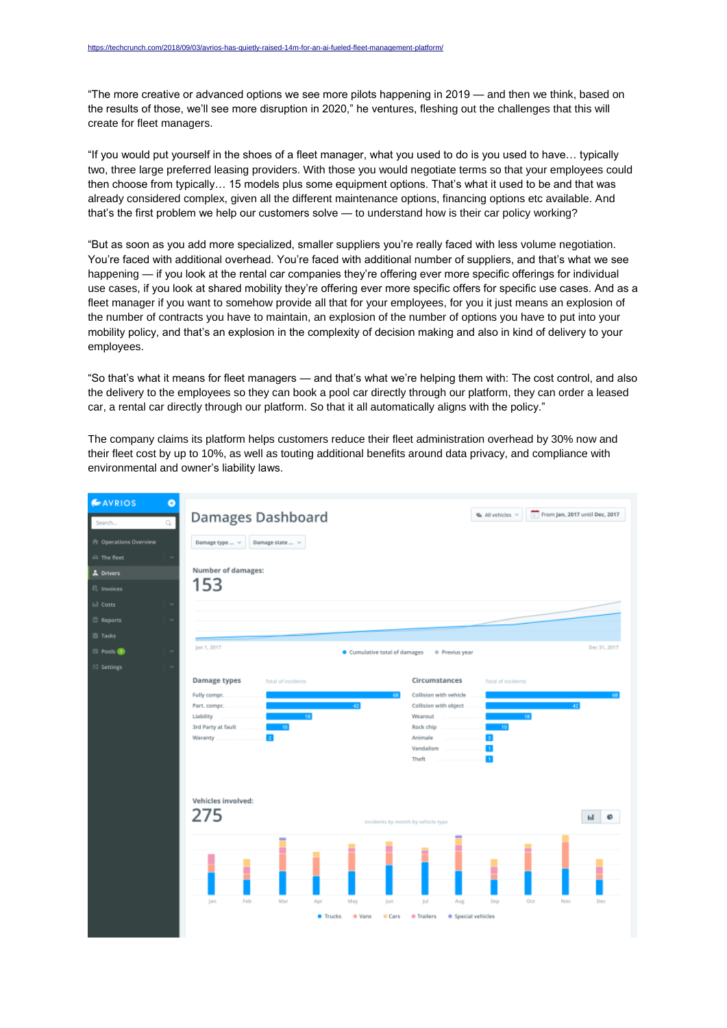"The more creative or advanced options we see more pilots happening in 2019 — and then we think, based on the results of those, we'll see more disruption in 2020," he ventures, fleshing out the challenges that this will create for fleet managers.

"If you would put yourself in the shoes of a fleet manager, what you used to do is you used to have… typically two, three large preferred leasing providers. With those you would negotiate terms so that your employees could then choose from typically… 15 models plus some equipment options. That's what it used to be and that was already considered complex, given all the different maintenance options, financing options etc available. And that's the first problem we help our customers solve — to understand how is their car policy working?

"But as soon as you add more specialized, smaller suppliers you're really faced with less volume negotiation. You're faced with additional overhead. You're faced with additional number of suppliers, and that's what we see happening — if you look at the rental car companies they're offering ever more specific offerings for individual use cases, if you look at shared mobility they're offering ever more specific offers for specific use cases. And as a fleet manager if you want to somehow provide all that for your employees, for you it just means an explosion of the number of contracts you have to maintain, an explosion of the number of options you have to put into your mobility policy, and that's an explosion in the complexity of decision making and also in kind of delivery to your employees.

"So that's what it means for fleet managers — and that's what we're helping them with: The cost control, and also the delivery to the employees so they can book a pool car directly through our platform, they can order a leased car, a rental car directly through our platform. So that it all automatically aligns with the policy."

The company claims its platform helps customers reduce their fleet administration overhead by 30% now and their fleet cost by up to 10%, as well as touting additional benefits around data privacy, and compliance with environmental and owner's liability laws.